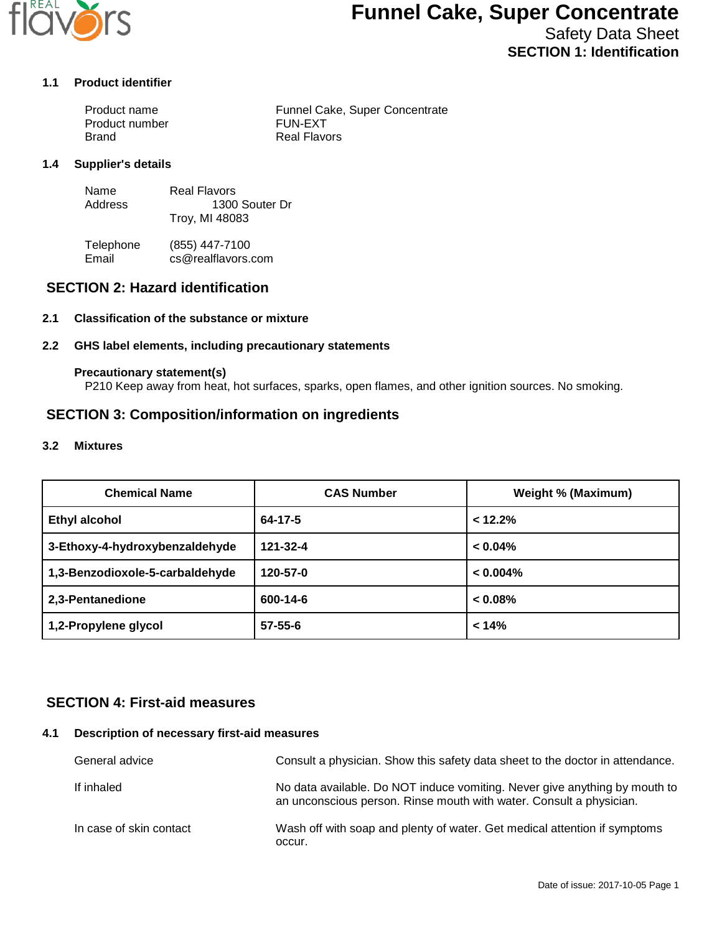

# **Funnel Cake, Super Concentrate**

Safety Data Sheet **SECTION 1: Identification**

### **1.1 Product identifier**

| Product name   | Funnel Cake, Super Concentrate |
|----------------|--------------------------------|
| Product number | <b>FUN-EXT</b>                 |
| Brand          | Real Flavors                   |

#### **1.4 Supplier's details**

| Name    | Real Flavors   |
|---------|----------------|
| Address | 1300 Souter Dr |
|         | Troy, MI 48083 |

Telephone (855) 447-7100<br>Email cs@realflavors. cs@realflavors.com

## **SECTION 2: Hazard identification**

### **2.1 Classification of the substance or mixture**

#### **2.2 GHS label elements, including precautionary statements**

#### **Precautionary statement(s)**

P210 Keep away from heat, hot surfaces, sparks, open flames, and other ignition sources. No smoking.

## **SECTION 3: Composition/information on ingredients**

#### **3.2 Mixtures**

| <b>Chemical Name</b>            | <b>CAS Number</b> | Weight % (Maximum) |
|---------------------------------|-------------------|--------------------|
| <b>Ethyl alcohol</b>            | $64 - 17 - 5$     | < 12.2%            |
| 3-Ethoxy-4-hydroxybenzaldehyde  | 121-32-4          | $< 0.04\%$         |
| 1,3-Benzodioxole-5-carbaldehyde | 120-57-0          | $< 0.004\%$        |
| 2,3-Pentanedione                | 600-14-6          | $< 0.08\%$         |
| 1,2-Propylene glycol            | $57 - 55 - 6$     | < 14%              |

## **SECTION 4: First-aid measures**

#### **4.1 Description of necessary first-aid measures**

| General advice          | Consult a physician. Show this safety data sheet to the doctor in attendance.                                                                     |
|-------------------------|---------------------------------------------------------------------------------------------------------------------------------------------------|
| If inhaled              | No data available. Do NOT induce vomiting. Never give anything by mouth to<br>an unconscious person. Rinse mouth with water. Consult a physician. |
| In case of skin contact | Wash off with soap and plenty of water. Get medical attention if symptoms<br>occur.                                                               |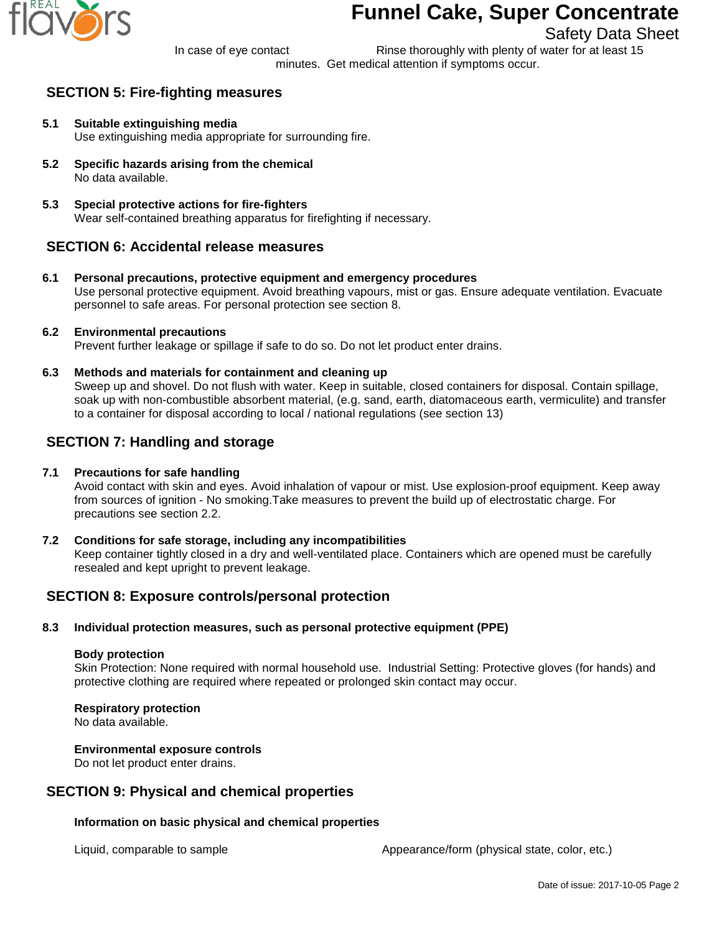

# **Funnel Cake, Super Concentrate**

# Safety Data Sheet

In case of eye contact Rinse thoroughly with plenty of water for at least 15 minutes. Get medical attention if symptoms occur.

# **SECTION 5: Fire-fighting measures**

- **5.1 Suitable extinguishing media** Use extinguishing media appropriate for surrounding fire.
- **5.2 Specific hazards arising from the chemical** No data available.
- **5.3 Special protective actions for fire-fighters** Wear self-contained breathing apparatus for firefighting if necessary.

# **SECTION 6: Accidental release measures**

**6.1 Personal precautions, protective equipment and emergency procedures** Use personal protective equipment. Avoid breathing vapours, mist or gas. Ensure adequate ventilation. Evacuate personnel to safe areas. For personal protection see section 8.

## **6.2 Environmental precautions**

Prevent further leakage or spillage if safe to do so. Do not let product enter drains.

**6.3 Methods and materials for containment and cleaning up**

Sweep up and shovel. Do not flush with water. Keep in suitable, closed containers for disposal. Contain spillage, soak up with non-combustible absorbent material, (e.g. sand, earth, diatomaceous earth, vermiculite) and transfer to a container for disposal according to local / national regulations (see section 13)

# **SECTION 7: Handling and storage**

## **7.1 Precautions for safe handling**

Avoid contact with skin and eyes. Avoid inhalation of vapour or mist. Use explosion-proof equipment. Keep away from sources of ignition - No smoking.Take measures to prevent the build up of electrostatic charge. For precautions see section 2.2.

**7.2 Conditions for safe storage, including any incompatibilities** Keep container tightly closed in a dry and well-ventilated place. Containers which are opened must be carefully resealed and kept upright to prevent leakage.

# **SECTION 8: Exposure controls/personal protection**

## **8.3 Individual protection measures, such as personal protective equipment (PPE)**

### **Body protection**

Skin Protection: None required with normal household use. Industrial Setting: Protective gloves (for hands) and protective clothing are required where repeated or prolonged skin contact may occur.

## **Respiratory protection**

No data available.

### **Environmental exposure controls**

Do not let product enter drains.

## **SECTION 9: Physical and chemical properties**

## **Information on basic physical and chemical properties**

Liquid, comparable to sample  $\blacksquare$  Appearance/form (physical state, color, etc.)